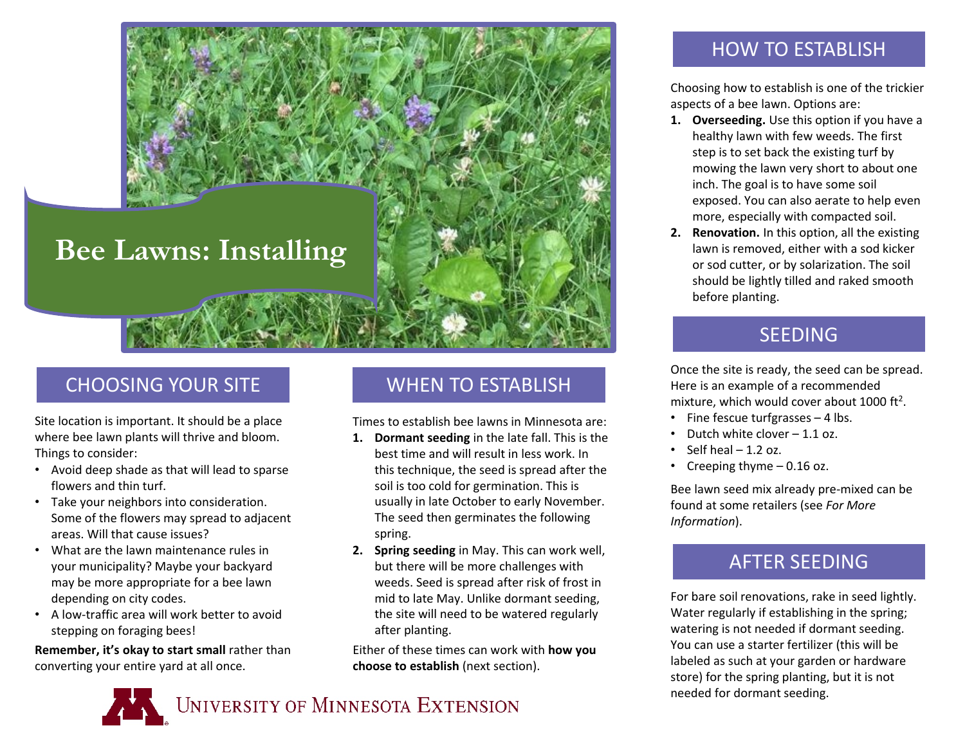

# CHOOSING YOUR SITE

Site location is important. It should be a place where bee lawn plants will thrive and bloom. Things to consider:

- Avoid deep shade as that will lead to sparse flowers and thin turf.
- Take your neighbors into consideration. Some of the flowers may spread to adjacent areas. Will that cause issues?
- What are the lawn maintenance rules in your municipality? Maybe your backyard may be more appropriate for a bee lawn depending on city codes.
- A low-traffic area will work better to avoid stepping on foraging bees!

**Remember, it's okay to start small** rather than converting your entire yard at all once.

## WHEN TO ESTABLISH

Times to establish bee lawns in Minnesota are:

- **1. Dormant seeding** in the late fall. This is the best time and will result in less work. In this technique, the seed is spread after the soil is too cold for germination. This is usually in late October to early November. The seed then germinates the following spring.
- **2. Spring seeding** in May. This can work well, but there will be more challenges with weeds. Seed is spread after risk of frost in mid to late May. Unlike dormant seeding, the site will need to be watered regularly after planting.

Either of these times can work with **how you choose to establish** (next section).



### HOW TO ESTABLISH

Choosing how to establish is one of the trickier aspects of a bee lawn. Options are:

- **1. Overseeding.** Use this option if you have a healthy lawn with few weeds. The first step is to set back the existing turf by mowing the lawn very short to about one inch. The goal is to have some soil exposed. You can also aerate to help even more, especially with compacted soil.
- **2. Renovation.** In this option, all the existing lawn is removed, either with a sod kicker or sod cutter, or by solarization. The soil should be lightly tilled and raked smooth before planting.

## SEEDING

Once the site is ready, the seed can be spread. Here is an example of a recommended mixture, which would cover about 1000 ft<sup>2</sup>.

- Fine fescue turfgrasses 4 lbs.
- Dutch white clover 1.1 oz.
- Self heal  $-1.2$  oz.
- Creeping thyme 0.16 oz.

Bee lawn seed mix already pre-mixed can be found at some retailers (see *For More Information*).

# AFTER SEEDING

For bare soil renovations, rake in seed lightly. Water regularly if establishing in the spring; watering is not needed if dormant seeding. You can use a starter fertilizer (this will be labeled as such at your garden or hardware store) for the spring planting, but it is not needed for dormant seeding.